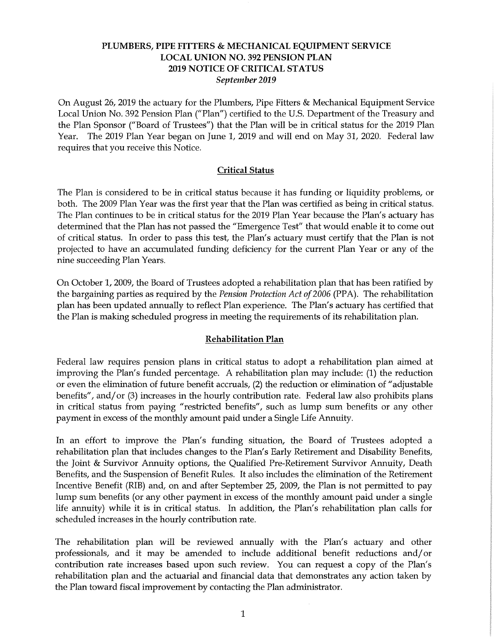## **PLUMBERS, PIPE FITTERS** & **MECHANICAL EQUIPMENT SERVICE LOCAL UNION NO. 392 PENSION PLAN 2019 NOTICE OF CRITICAL STATUS**  *September 2019*

On August 26, 2019 the actuary for the Plumbers, Pipe Fitters & Mechanical Equipment Service Local Union No. 392 Pension Plan ("Plan") certified to the U.S. Department of the Treasury and the Plan Sponsor ("Board of Trustees") that the Plan will be in critical status for the 2019 Plan Year. The 2019 Plan Year began on June 1, 2019 and will end on May 31, 2020. Federal law requires that you receive this Notice.

### **Critical Status**

The Plan is considered to be in critical status because it has funding or liquidity problems, or both. The 2009 Plan Year was the first year that the Plan was certified as being in critical status. The Plan continues to be in critical status for the 2019 Plan Year because the Plan's actuary has determined that the Plan has not passed the "Emergence Test" that would enable it to come out of critical status. In order to pass this test, the Plan's actuary must certify that the Plan is not projected to have an accumulated funding deficiency for the current Plan Year or any of the nine succeeding Plan Years.

On October 1, 2009, the Board of Trustees adopted a rehabilitation plan that has been ratified by the bargaining parties as required by the *Pension Protection Act of2006* (PPA). The rehabilitation plan has been updated annually to reflect Plan experience. The Plan's actuary has certified that the Plan is making scheduled progress in meeting the requirements of its rehabilitation plan.

### **Rehabilitation Plan**

Federal law requires pension plans in critical status to adopt a rehabilitation plan aimed at improving the Plan's funded percentage. A rehabilitation plan may include: (1) the reduction or even the elimination of future benefit accruals, (2) the reduction or elimination of "adjustable benefits", and/or (3) increases in the hourly contribution rate. Federal law also prohibits plans in critical status from paying "restricted benefits", such as lump sum benefits or any other payment in excess of the monthly amount paid under a Single Life Annuity.

In an effort to improve the Plan's funding situation, the Board of Trustees adopted a rehabilitation plan that includes changes to the Plan's Early Retirement and Disability Benefits, the Joint & Survivor Annuity options, the Qualified Pre-Retirement Survivor Annuity, Death Benefits, and the Suspension of Benefit Rules. It also includes the elimination of the Retirement Incentive Benefit (RIB) and, on and after September 25, 2009, the Plan is not permitted to pay lump sum benefits (or any other payment in excess of the monthly amount paid under a single life annuity) while it is in critical status. In addition, the Plan's rehabilitation plan calls for scheduled increases in the hourly contribution rate.

The rehabilitation plan will be reviewed annually with the Plan's actuary and other professionals, and it may be amended to include additional benefit reductions and/or contribution rate increases based upon such review. You can request a copy of the Plan's rehabilitation plan and the actuarial and financial data that demonstrates any action taken by the Plan toward fiscal improvement by contacting the Plan administrator.